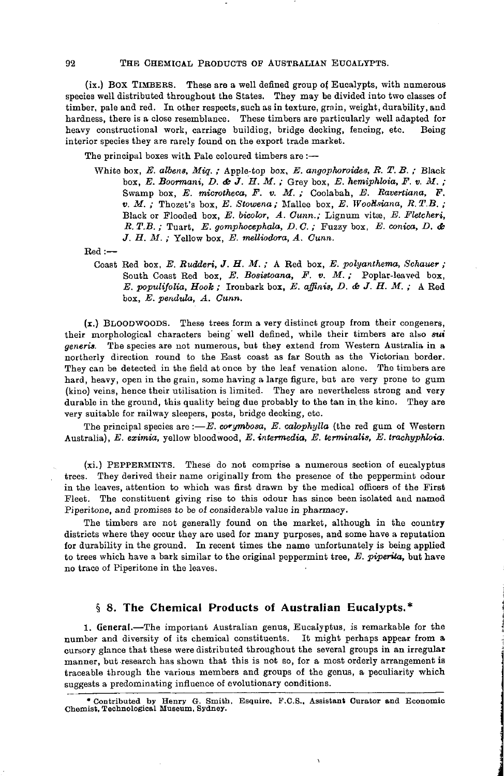#### 92 THE CHEMICAL PRODUCTS OF AUSTRALIAN EUOALYPTS.

(ix.) BOX TIMBERS. These are a well defined group of Eucalypts, with numerous speoiea well distributed throughout the States. They may be divided into two classes of timber, pale and red. In other respects, such as in texture, grain, weight, durability, and hardness, there is a close resemblance. These timbers are particularly well adapted for heavy constructional work, carriage building, bridge decking, fencing, etc. Being interior species they are rarely found on the export trade market.

The principal boxes with Pale coloured timbers are :-

White box, *E. albens, Miq. ;* Apple-top box, *E. angophoroides, R. T. B. ;* Black box, *E. Boormani, D. dh J. H. M. ;* Grey box, *E. hemiphloia, F. v. M. ;* Swamp box, *E. microtheca, F. v. M. ;* Coolabah, *E. Bavertiana, F. v. M. ;* Thozet's box, *E. Stowena ;* Mallee box, *E. WooHsiana, R.T.B. ;* Black or Flooded box, *E. bicolor, A. Cunn.;* Lignum vitae, *E. Fletcheri, R. T.B.*; Tuart, *E. gomphocephala, D. C.*; Fuzzy box, *E. conica, D. & J. H. M. ;* Yellow box, *E. melliodora, A. Cunn.*

Red:—

Coast Red box, *E. Rudderi, J. H. M. ;* A Red box, *E. polyanthema, Schauer ;* South Coast Red box, *E. Bosistoana*, *F. v. M.*; Poplar-leaved box. *E. populifolia, Hook;* Ironbark box, *E. affinis, D. & J. H. M.*; A Red box, *E. pendula, A. Cunn.*

 $(x)$  BLOODWOODS. These trees form a very distinct group from their congeners, their morphological characters being' well defined, while their timbers are also *sui generis.* The species are not numerous, but they extend from Western Australia in a northerly direction round to the East coast as far South as the Victorian border. They can be detected in the field at once by the leaf venation alone. The timbers are hard, heavy, open in the grain, some having a large figure, but are very prone to gum (kino) veins, hence their utilisation is limited. They are nevertheless strong and very durable in the ground, this quality being due probably to the tan in the kino. They are very suitable for railway sleepers, posts, bridge decking, etc.

The principal species are  $: -E$ . corymbosa, E. calophylla (the red gum of Western Australia), *E. eximia,* yellow bloodwood, *E. intermedia, E. terminalis, E. trachyphloia.*

(xi.) PEPPERMINTS. These do not comprise a numerous section of eucalyptus trees. They derived their name originally from the presence of the peppermint odour in the leaves, attention to which was first drawn by the medical officers of the First Fleet. The constituent giving rise to this odour has since been isolated and named Piperitone, and promises to be of considerable value in pharmacy.

The timbers are not generally found on the market, although in the country districts where they occur they are used for many purposes, and some have a reputation for durability in the ground. In recent times the name unfortunately is being applied to trees which have a bark similar to the original peppermint tree, *E. piperita,* but have no trace of Piperitone in the leaves.

# **§ 8. The Chemical Products of Australian Eucalypts.\***

1. General.—The important Australian genus, Eucalyptus, is remarkable for the number and diversity of its chemical constituents. It might perhaps appear from a cursory glance that these were distributed throughout the several groups in an irregular manner, but research has shown that this is not so, for a most orderly arrangement is traceable through the various members and groups of the genus, a peculiarity which suggests a predominating influence of evolutionary conditions.

\* Contributed by Henry G. Smith, Esquire, F.C.S., Assistant Curator and Economic Chemist, Technological Museum, Sydney.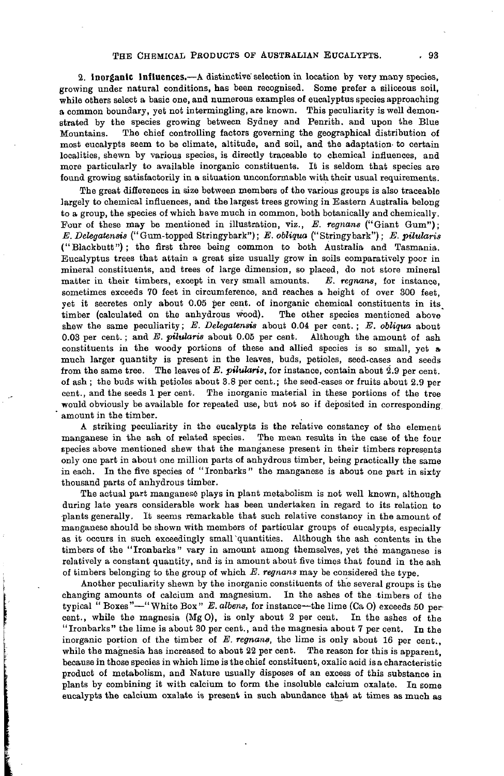**2. Inorganic Influences.**—A distinctive'selection in location by very many species, growing under natural conditions, has been recognised. Some prefer a siliceous soil, while others select a basic one, and numerous examples of eucalyptus species approaching a common boundary, yet not intermingling, are known. This peculiarity is well demonstrated by the species growing between Sydney and Penrith. and upon the Blue Mountains. The chief controlling factors governing the geographical distribution of most eucalypts seem to be climate, altitude, and soil, and the adaptation- to certain localities, shewn by various species, is directly traceable to chemical influences, and more particularly to available inorganic constituents. It is seldom that species are found growing satisfactorily in a situation unconformable with their usual requirements.

The great differences in size between members of the various groups is also traceable largely to chemical influences, and the largest trees growing in Eastern Australia belong to a group, the species of which have much in common, both botanically and chemically. Four of these may be mentioned in illustration, viz., *E. regnans* ("Giant Gum"); *E. Delegatensis* ("Gum-topped Stringybark"); *E. obliqua* (" Stringy bark"); *E. pilularis* ("Blackbutt") ; the first three being common to both Australia and Tasmania. Eucalyptus trees that attain a great size usually grow in soils comparatively poor in mineral constituents, and trees of large dimension, so placed, do not store mineral matter in their timbers, except in very small amounts. *E. regnans,* for instance, sometimes exceeds 70 feet in circumference, and reaches a height of over 300 feet, yet it secretes only about 0.05 per cent, of inorganic chemical constituents in its timber (calculated on the anhydrous wood). The other species mentioned above shew the same peculiarity; *E. Delegatensis* about 0.04 per cent. ; *E. obliqua* about 0.03 per cent. ; and *E. pilularis* about 0.05 per cent. Although the amount of ash constituents in the woody portions of these and allied species is so small, yet a much larger quantity is present in the leaves, buds, petioles, seed-cases and seeds from the same tree. The leaves of E. pilularis, for instance, contain about 2.9 per cent. of ash ; the buds with petioles about 3.8 per cent.; the seed-cases or fruits about 2.9 per cent., and the seeds 1 per cent. The inorganic material in these portions of the tree would obviously be available for repeated use, but not so if deposited in corresponding amount in the timber.

A striking peculiarity in the eucalypts is the relative constancy of the element manganese in the ash of related species. The mean results in the case of the four species above mentioned shew that the manganese present in their timbers represents only one part in about one million parts of anhydrous timber, being practically the same in each. In the five species of "Ironbarks" the manganese is about one part in sixty thousand parts of anhydrous timber.

The actual part manganese plays in plant metabolism is not well known, although during late years considerable work has been undertaken in regard to its relation to plants generally. It seems remarkable that such relative constancy in the amount of manganese should be shown with members of particular groups of eucalypts, especially as it occurs in such exceedingly small "quantities. Although the ash contents in the timbers of the "Ironbarks" vary in amount among themselves, yet the manganese is relatively a constant quantity, and is in amount about five times that found in the ash of timbers belonging to the group of which *E. regnans* may be considered the type.

Another peculiarity shewn by the inorganic constituents of the several groups is the changing amounts of calcium and magnesium. In the ashes of the timbers of the typical " Boxes"—"White Box" *E. albens,* for instance—the lime (Ca O) exceeds 50 percent., while the magnesia (MgO), is only about 2 per cent. In the ashes of the "Ironbarks" the lime is about 30 per cent., and the magnesia about 7 per cent. In the inorganic portion of the timber of *E. regnans,* the lime is only about 16 per cent., while the magnesia has increased to about 22 per cent. The reason for this is apparent, because in those species in which lime is the chief constituent, oxalic acid is a characteristic product of metabolism, and Nature usually disposes of an excess of this substance in plants by combining it with calcium to form the insoluble calcium oxalate. In some eucalypts the calcium oxalate is present in such abundance that at times as much as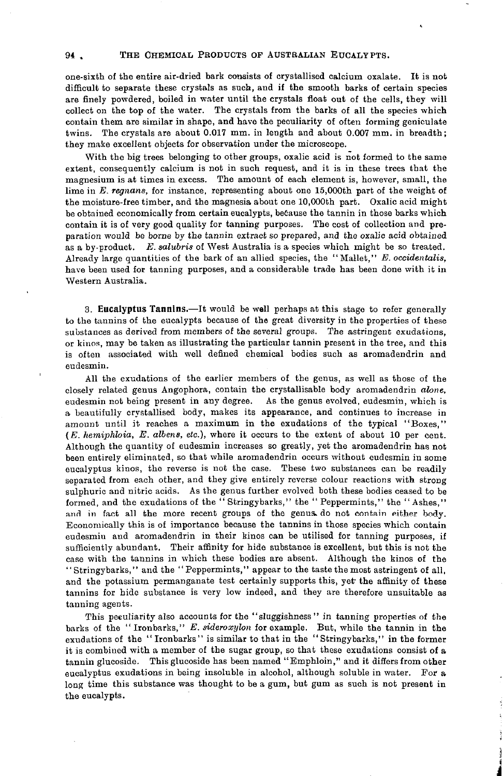# 94 . THE CHEMICAL PRODUCTS OF AUSTRALIAN EUCALYPTS.

one-sixth of the entire air-dried bark consists of crystallised calcium oxalate. It is not difficult to separate these crystals as such, and if the smooth barks of certain species are finely powdered, boiled in water until the crystals float out of the cells, they will collect on the top of the water. The crystals from the barks of all the species which contain them are similar in shape, and have the peculiarity of often forming geniculate twins. The crystals are about 0.017 mm. in length and about 0.007 mm. in breadth; they make excellent objects for observation under the microscope.

With the big trees belonging to other groups, oxalic acid is not formed to the same extent, consequently calcium is not in such request, and it is in these trees that the magnesium is at times in excess. The amount of each element is, however, small, the lime in *E. regnans,* for instance, representing about one 15,000th part of the weight of the moisture-free timber, and the magnesia about one 10,000th part. Oxalic acid might be obtained economically from certain eucalypts, because the tannin in those barks which contain it is of very good quality for tanning purposes. The cost of collection and preparation would be borne by the tannin extract so prepared, and the oxalic acid obtained as a by-product. *E. salubris* of West Australia is a species which might be so treated. Already large quantities of the bark of an allied species, the "Mallet," *E. occidentalis,* have been used for tanning purposes, and a considerable trade has been done with it in Western Australia.

**3. Eucalyptus Tannins.**—It would be well perhaps at this stage to refer generally to the tannins of the eucalypts because of the great diversity in the properties of these substances as derived from members of the several groups. The astringent exudations, or kinos, may be taken as illustrating the particular tannin present in the tree, and this is often associated with well defined chemical bodies such as aromadendrin and eudesmin.

All the exudations of the earlier members of the genus, as well as those of the closely related genus Angophora, contain the crystallisable body aromadendrin *alone,* eudesmin not being present in any degree. As the genus evolved, eudesmin, which is a beautifully crystallised body, makes its appearance, and continues to increase in amount until it reaches a maximum in the exudations of the typical "Boxes," *(E. hemiphloia, E. albens, etc.),* where it occurs to the extent of about 10 per cent. Although the quantity of eudesmin increases so greatly, yet the aromadendrin has not been entirely eliminated, so that while aromadendrin occurs without eudesmin in some eucalyptus kinos, the reverse is not the case. These two substances can be readily separated from each other, and they give entirely reverse colour reactions with strong sulphuric and nitric acids. As the genus further evolved both these bodies ceased to be formed, and the exudations of the " Stringybarks," the " Peppermints," the " Ashes," and in fact all the more recent groups of the genus, do not contain either body. Economically this is of importance because the tannins in those species which contain eudesmiu and aromadendrin in their kinos can be utilised for tanning purposes, if sufficiently abundant. Their affinity for hide substance is excellent, but this is not the case with the tannins in which these bodies are absent. Although the kinos of the "Stringybarks," and the "Peppermints," appear to the taste the most astringent of all, and the potassium permanganate test certainly supports this, yet the affinity of these tannins for hide substance is very low indeed, and they are therefore unsuitable as tanning agents.

This peculiarity also accounts for the "sluggishness" in tanning properties of the barks of the "Ironbarks," *E. sideroxylon* for example. But, while the tannin in the exudations of the " Ironbarks" is similar to that in the "Stringybarks," in the former it is combined with a member of the sugar group, so that these exudations consist of a tannin glucoside. This glucoside has been named "Emphloin," and it differs from other eucalyptus exudations in being insoluble in alcohol, although soluble in water. For a long time this substance was thought to be a gum, but gum as such is not present in the eucalypts.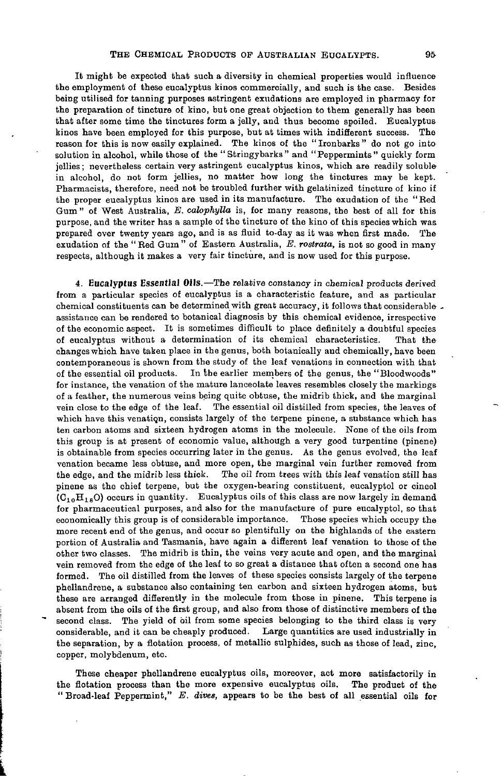It might be expected that such a diversity in chemical properties would influence the employment of these eucalyptus kinos commercially, and such is the case. Besides being utilised for tanning purposes astringent exudations are employed in pharmacy for the preparation of tincture of kino, but one great objection to them generally has been that after some time the tinctures form a jelly, and thus become spoiled. Eucalyptus kinos have been employed for this purpose, but at times with indifferent success. The reason for this is now easily explained. The kinos of the " Ironbarks " do not go into solution in alcohol, while those of the "Stringybarks" and "Peppermints" quickly form jellies; nevertheless certain very astringent eucalyptus kinos, which are readily soluble in alcohol, do not form jellies, no matter how long the tinctures may be kept. Pharmacists, therefore, need not be troubled further with gelatinized tincture of kino if the proper eucalyptus kinos are used in its manufacture. The exudation of the "Bed Gum" of West Australia, *E. calophylla* is, foe many reasons, the best of all for this purpose, and the writer has a sample of the tincture of the kino of this species which was prepared over twenty years ago, and is as fluid to-day as it was when first made. The exudation of the " Red Gum " of Eastern Australia, *E. rostrata,* is not so good in many respects, although it makes a very fair tincture, and is now used for this purpose.

**4. Eucalyptus Essential Oils.**—The relative constancy in chemical products derived from a particular species of eucalyptus is a characteristic feature, and as particular chemical constituents can be determined with great accuracy, it follows that considerable . assistance can be rendered to botanical diagnosis by this chemical evidence, irrespective of the economic aspect. It is sometimes difficult to place definitely a doubtful species of eucalyptus without a determination of its chemical characteristics. That the changes which have taken place in the genus, both botanically and chemically, have been contemporaneous is shown from the study of the leaf venations in connection with that of the essential oil products. In the earlier members of the genus, the "Bloodwoods" for instance, the venation of the mature lanceolate leaves resembles closely the markings of a feather, the numerous veins being quite obtuse, the midrib thick, and the marginal vein close to the edge of the leaf. The essential oil distilled from species, the leaves of which have this venatiqn, consists largely of the terpene pinene, a substance which has ten carbon atoms and sixteen hydrogen atoms in the molecule. None of the oils from this group is at present of economic value, although a very good turpentine (pinene) is obtainable from species occurring later in the genus. As the genus evolved, the leaf venation became less obtuse, and more open, the marginal vein further removed from the edge, and the midrib less thick. The oil from trees with this leaf venation still has pinene as the chief terpene, but the oxygen-bearing constituent, eucalyptol or cineol  $(C_{10}H_{18}O)$  occurs in quantity. Eucalyptus oils of this class are now largely in demand for pharmaceutical purposes, and also for the manufacture of pure eucalyptol, so that economically this group is of considerable importance. Those species which occupy the more recent end of the genus, and occur so plentifully on the highlands of the eastern portion of Australia and Tasmania, have again a different leaf venation to those of the other two classes. The midrib is thin, the veins very acute and open, and the marginal vein removed from the edge of the leaf to so great a distance that often a second one has formed. The oil distilled from the leaves of these species consists largely of the terpene phellandrene, a substance also containing ten carbon and sixteen hydrogen atoms, but these are arranged differently in the molecule from those in pinene. This terpene is absent from the oils of the first group, and also from those of distinctive members of the second class. The yield of oil from some species belonging to the third class is very considerable, and it can be cheaply produced. Large quantities are used industrially in the separation, by a flotation process, of metallic sulphides, such as those of lead, zinc, copper, molybdenum, etc.

These cheaper phellandrene eucalyptus oils, moreover, act more satisfactorily in the flotation process than the more expensive eucalyptus oils. The product of the " Broad-leaf Peppermint," *E. dives,* appears to be the best of all essential oils for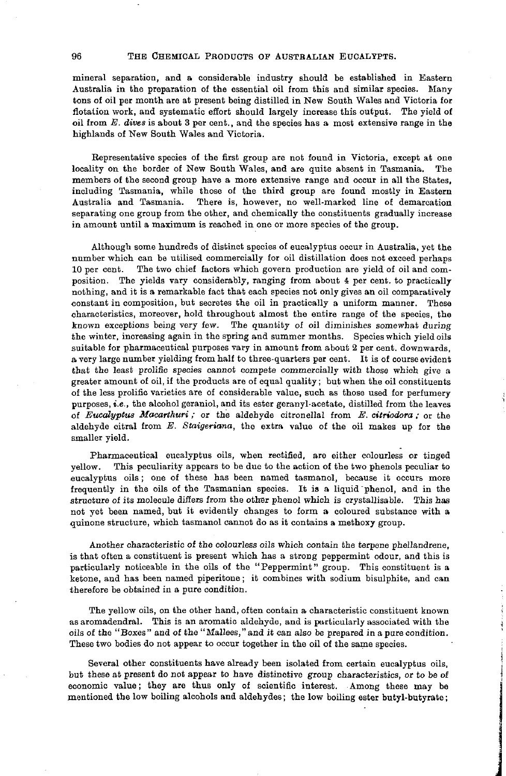### 96 THE CHEMICAL PRODUCTS OF AUSTRALIAN EUCALYPTS.

mineral separation, and a considerable industry should be established in Eastern Australia in the preparation of the essential oil from this and similar species. Many tons of oil per month are at present being distilled in New South Wales and Victoria for flotation work, and systematic effort should largely increase this output. The yield of oil from *E. dives* is about 3 per cent., and the species has a most extensive range in the highlands of New South Wales and Victoria.

Representative species of the first group are not found in Victoria, except at one locality on the border of New South Wales, and are quite absent in Tasmania. The members of the second group have a more extensive range and occur in all the States, including Tasmania, while those of the third group are found mostly in Eastern Australia and Tasmania. There is, however, no well-marked line of demarcation separating one group from the other, and chemically the constituents gradually increase in amount until a maximum is reached in one or more species of the group.

Although some hundreds of distinct species of eucalyptus occur in Australia, yet the number which can be utilised commercially for oil distillation does not exceed perhaps 10 per cent. The two chief factors which govern production are yield of oil and composition. The yields vary considerably, ranging from about 4 per cent, to practically nothing, and it is a remarkable fact that each species not only gives an oil comparatively constant in composition, but secretes the oil in practically a uniform manner. These characteristics, moreover, hold throughout almost the entire range of the species, the known exceptions being very few. The quantity of oil diminishes somewhat during the winter, increasing again in the spring and summer months. Species which yield oils suitable for pharmaceutical purposes vary in amount from about 2 per cent, downwards, a very large number yielding from half to three-quarters per cent. It is of course evident that the least prolific species cannot compete commercially with those which give a greater amount of oil, if the products are of equal quality; but when the oil constituents of the less prolific varieties are of considerable value, such as those used for perfumery purposes, *i.e.,* the alcohol geraniol, and its ester geranyl-acetate, distilled from the leaves of *Eucalyptus Macarthuri ;* or the aldehyde citronellal from *E. citriodora ;* or the aldehyde citral from *E. Staigeriana,* the extra value of the oil makes up for the smaller yield.

Pharmaceutical eucalyptus oils, when rectified, are either colourless or tinged yellow. This peculiarity appears to be due to the action of the two phenols peculiar to eucalyptus oils; one of these has been named tasmanol, because it occurs more frequently in the oils of the Tasmanian species. It is a liquid "phenol, and in the structure of its molecule differs from the other phenol which is crystallisable. This has not yet been named, but it evidently changes to form a coloured substance with a quinone structure, which tasmanol cannot do as it contains a methoxy group.

Another characteristic of the colourless oils which contain the terpene phellandrene, is that often a constituent is present which has a strong peppermint odour, and this is particularly noticeable in the oils of the "Peppermint" group. This constituent is a ketone, and has been named piperitone; it combines with sodium bisulphite, and can therefore be obtained in a pure condition.

The yellow oils, on the other hand, often contain a characteristic constituent known as aromadendral. This is an aromatic aldehyde, and is particularly associated with the oils of the "Boxes" and of the "Mallees,"and it can also be prepared in a pure condition. These two bodies do not appear to occur together in the oil of the same species.

 $\frac{1}{2}$ 

Several other constituents have already been isolated from certain eucalyptus oils, but these at present do not appear to have distinctive group characteristics, or to be of economic value; they are thus only of scientific interest. Among these may be mentioned the low boiling alcohols and aldehydes; the low boiling ester butyl-butyrate;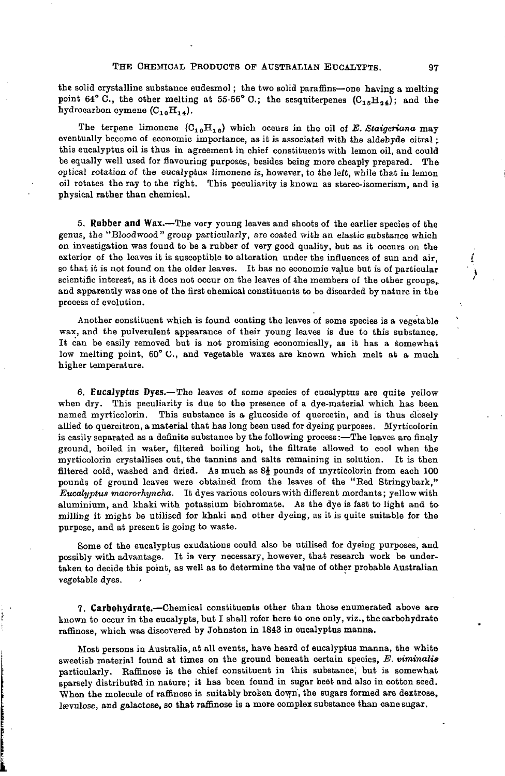the solid crystalline substance eudesmol; the two solid paraffins—one having a melting point 64° C., the other melting at 55-56° C.; the sesquiterpenes  $(C_{15}H_{24})$ ; and the hydrocarbon cymene  $(C_{10}H_{14})$ .

The terpene limonene  $(C_{10}H_{16})$  which occurs in the oil of E. Staigeriana may eventually become of economic importance, as it is associated with the aldehyde citral; this eucalyptus oil is thus in agreement in chief constituents with lemon oil, and could be equally well used for flavouring purposes, besides being more cheaply prepared. The optical rotation of the eucalyptus limonene is, however, to the left, while that in lemon oil rotates the ray to the right. This peculiarity is known as stereo-isomerism, and is physical rather than chemical.

**5. Rubber and Wax.**—The very young leaves and shoots of the earlier species of the genus, the "Bloodwood" group particularly, are coated with an elastic substance which on investigation was found to be a rubber of very good quality, but as it occurs on the exterior of the leaves it is susceptible to alteration under the influences of sun and air, so that it is not found on the older leaves. It has no economic value but is of particular scientific interest, as it does not occur on the leaves of the members of the other groups, and apparently was one of the first chemical constituents to be discarded by nature in the process of evolution.

Another constituent which is found coating the leaves of some species is a vegetable wax, and the pulverulent appearance of their young leaves is due to this substance. It can be easily removed but is not promising economically, as it has a somewhat low melting point, 60° C., and vegetable waxes are known which melt at a much higher temperature.

**6. Eucalyptus Dyes.**—The leaves of some species of eucalyptus are quite yellow when dry. This peculiarity is due to the presence of a dye-material which has been named myrticolorin. This substance is a glucoside of quercetin, and is thus closely allied to quercitron, a material that has long been used for dyeing purposes. Myrticolorin is easily separated as a definite substance by the following process:—The leaves are finely ground, boiled in water, filtered boiling hot, the filtrate allowed to cool when the myrticolorin crystallises out, the tannins and salts remaining in solution. It is then filtered cold, washed and dried. As much as  $8\frac{1}{2}$  pounds of myrticolorin from each 100 pounds of ground leaves were obtained from the leaves of the "Red Stringybark," *Eucalyptus macrorhyncha.* It dyes various colours with different mordants; yellow with aluminium, and khaki with potassium bichromate. As the dye is fast to light and to milling it might be utilised for khaki and other dyeing, as it is quite suitable for the purpose, and at present is going to waste.

Some of the eucalyptus exudations could also be utilised for dyeing purposes, and possibly with advantage. It *ia* very necessary, however, that research work be undertaken to decide this point, as well as to determine the value of other probable Australian vegetable dyes.

**7. Carbohydrate.**—Chemical constituents other than those enumerated above are known to occur in the eucalypts, but I shall refer here to one only, viz., the carbohydrate raffinose, which was discovered by Johnston in 1843 in eucalyptus manna.

Most persons in Australia, at all events, have heard of eucalyptus manna, the white sweetish material found at times on the ground beneath certain species, *E. viminalis* particularly. Raffinose is the chief constituent in this substance, but is somewhat sparsely distributed in nature; it has been found in sugar beet and also in cotton seed. When the molecule of raffinose is suitably broken down, the sugars formed are dextrose, lævulose, and galactose, so that raffinose is a more complex substance than cane sugar.

Í